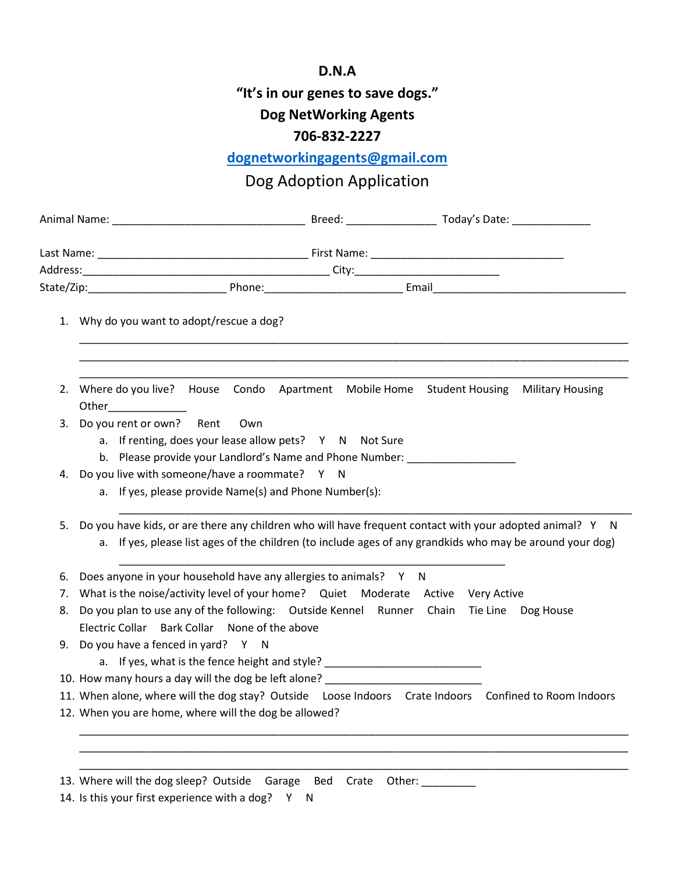## **D.N.A "It's in our genes to save dogs." Dog NetWorking Agents 706-832-2227**

## **[dognetworkingagents@gmail.com](mailto:dognetworkingagents@gmail.com)**

## Dog Adoption Application

| 1. Why do you want to adopt/rescue a dog?                                                                                                                                            |                               |                                                                                                                                                                                                                       |
|--------------------------------------------------------------------------------------------------------------------------------------------------------------------------------------|-------------------------------|-----------------------------------------------------------------------------------------------------------------------------------------------------------------------------------------------------------------------|
| 2.<br>Other_______________                                                                                                                                                           |                               | Where do you live? House Condo Apartment Mobile Home Student Housing Military Housing                                                                                                                                 |
| Do you rent or own? Rent<br>Own<br>3.<br>a. If renting, does your lease allow pets? Y N Not Sure<br>b. Please provide your Landlord's Name and Phone Number: _______________________ |                               |                                                                                                                                                                                                                       |
| Do you live with someone/have a roommate? Y N<br>4.<br>a. If yes, please provide Name(s) and Phone Number(s):                                                                        |                               |                                                                                                                                                                                                                       |
| 5.                                                                                                                                                                                   |                               | Do you have kids, or are there any children who will have frequent contact with your adopted animal? Y N<br>a. If yes, please list ages of the children (to include ages of any grandkids who may be around your dog) |
| Does anyone in your household have any allergies to animals? Y N<br>6.                                                                                                               |                               |                                                                                                                                                                                                                       |
| What is the noise/activity level of your home? Quiet Moderate Active Very Active<br>7.                                                                                               |                               |                                                                                                                                                                                                                       |
| Do you plan to use any of the following: Outside Kennel Runner Chain Tie Line Dog House<br>8.<br>Electric Collar Bark Collar None of the above                                       |                               |                                                                                                                                                                                                                       |
| Do you have a fenced in yard? Y N<br>9.<br>a. If yes, what is the fence height and style? _________________________________                                                          |                               |                                                                                                                                                                                                                       |
| 10. How many hours a day will the dog be left alone?                                                                                                                                 |                               |                                                                                                                                                                                                                       |
|                                                                                                                                                                                      |                               | 11. When alone, where will the dog stay? Outside Loose Indoors Crate Indoors Confined to Room Indoors                                                                                                                 |
| 12. When you are home, where will the dog be allowed?                                                                                                                                |                               |                                                                                                                                                                                                                       |
|                                                                                                                                                                                      |                               |                                                                                                                                                                                                                       |
|                                                                                                                                                                                      |                               |                                                                                                                                                                                                                       |
| 13. Where will the dog sleep? Outside                                                                                                                                                | Garage<br><b>Bed</b><br>Crate | Other:                                                                                                                                                                                                                |

14. Is this your first experience with a dog? Y N